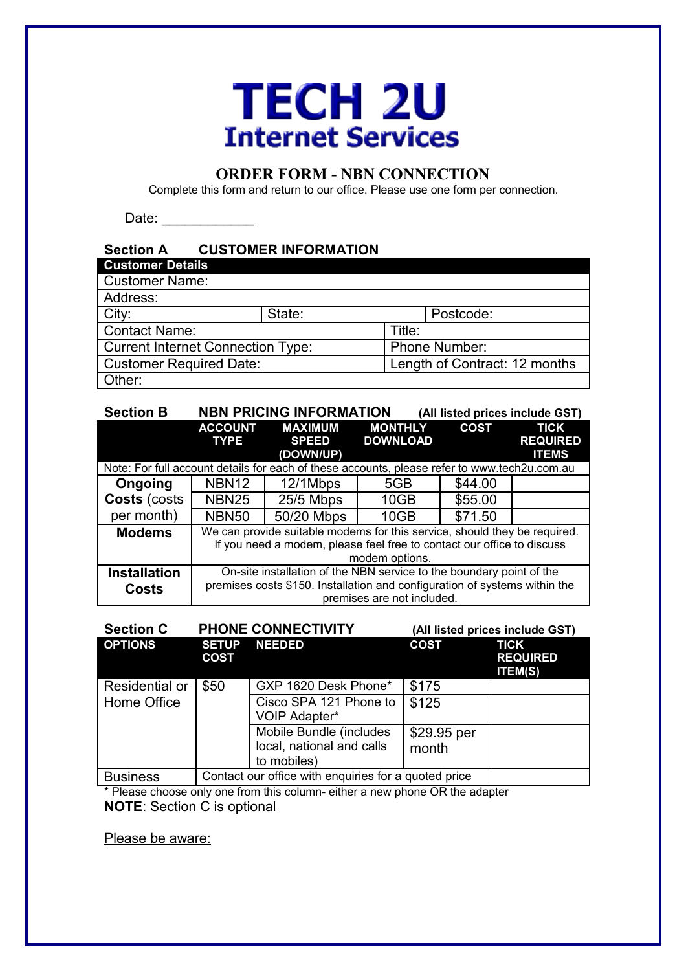# **TECH 2U Internet Services**

## **ORDER FORM - NBN CONNECTION**

Complete this form and return to our office. Please use one form per connection.

Date: \_\_\_\_\_\_\_\_\_\_\_\_

### **Section A CUSTOMER INFORMATION Customer Details** Customer Name: Address: City: <br>
State: Postcode: Postcode: Postcode: Postcode: Postcode: Postcode: Postcode: Postcode: Postcode: Postcode: Postcode: Postcode: Postcode: Postcode: Postcode: Postcode: Postcode: Postcode: Postcode: Postcode: Postcod Contact Name: Current Internet Connection Type: Phone Number: Customer Required Date: Length of Contract: 12 months Other:

| <b>Section B</b>                                                                             |                                                                            | <b>NBN PRICING INFORMATION</b>              |                                   | (All listed prices include GST) |                                                |
|----------------------------------------------------------------------------------------------|----------------------------------------------------------------------------|---------------------------------------------|-----------------------------------|---------------------------------|------------------------------------------------|
|                                                                                              | <b>ACCOUNT</b><br><b>TYPE</b>                                              | <b>MAXIMUM</b><br><b>SPEED</b><br>(DOWN/UP) | <b>MONTHLY</b><br><b>DOWNLOAD</b> | <b>COST</b>                     | <b>TICK</b><br><b>REQUIRED</b><br><b>ITEMS</b> |
| Note: For full account details for each of these accounts, please refer to www.tech2u.com.au |                                                                            |                                             |                                   |                                 |                                                |
| Ongoing                                                                                      | NBN <sub>12</sub>                                                          | 12/1Mbps                                    | 5GB                               | \$44.00                         |                                                |
| Costs (costs                                                                                 | <b>NBN25</b>                                                               | 25/5 Mbps                                   | 10GB                              | \$55.00                         |                                                |
| per month)                                                                                   | <b>NBN50</b>                                                               | 50/20 Mbps                                  | 10GB                              | \$71.50                         |                                                |
| <b>Modems</b>                                                                                | We can provide suitable modems for this service, should they be required.  |                                             |                                   |                                 |                                                |
|                                                                                              | If you need a modem, please feel free to contact our office to discuss     |                                             |                                   |                                 |                                                |
|                                                                                              | modem options.                                                             |                                             |                                   |                                 |                                                |
| <b>Installation</b>                                                                          | On-site installation of the NBN service to the boundary point of the       |                                             |                                   |                                 |                                                |
| <b>Costs</b>                                                                                 | premises costs \$150. Installation and configuration of systems within the |                                             |                                   |                                 |                                                |
|                                                                                              | premises are not included.                                                 |                                             |                                   |                                 |                                                |

| <b>Section C</b> | <b>PHONE CONNECTIVITY</b>                            |                                                                     | (All listed prices include GST) |                                                  |  |
|------------------|------------------------------------------------------|---------------------------------------------------------------------|---------------------------------|--------------------------------------------------|--|
| <b>OPTIONS</b>   | <b>SETUP</b><br><b>COST</b>                          | <b>NEEDED</b>                                                       | <b>COST</b>                     | <b>TICK</b><br><b>REQUIRED</b><br><b>ITEM(S)</b> |  |
| Residential or   | \$50                                                 | GXP 1620 Desk Phone*                                                | \$175                           |                                                  |  |
| Home Office      |                                                      | Cisco SPA 121 Phone to<br>VOIP Adapter*                             | \$125                           |                                                  |  |
|                  |                                                      | Mobile Bundle (includes<br>local, national and calls<br>to mobiles) | \$29.95 per<br>month            |                                                  |  |
| <b>Business</b>  | Contact our office with enquiries for a quoted price |                                                                     |                                 |                                                  |  |

\* Please choose only one from this column- either a new phone OR the adapter **NOTE**: Section C is optional

Please be aware: